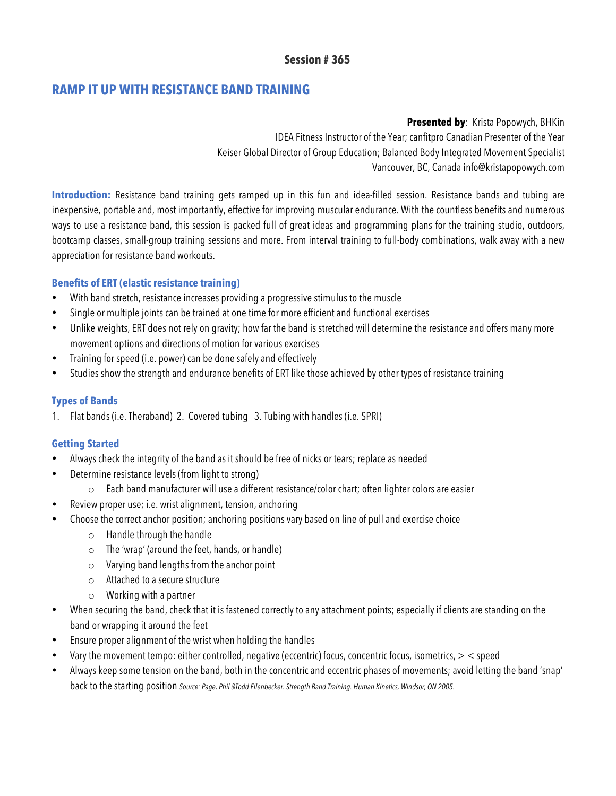# **Session # 365**

# **RAMP IT UP WITH RESISTANCE BAND TRAINING**

**Presented by**: Krista Popowych, BHKin IDEA Fitness Instructor of the Year; canfitpro Canadian Presenter of the Year Keiser Global Director of Group Education; Balanced Body Integrated Movement Specialist Vancouver, BC, Canada info@kristapopowych.com

Introduction: Resistance band training gets ramped up in this fun and idea-filled session. Resistance bands and tubing are inexpensive, portable and, most importantly, effective for improving muscular endurance. With the countless benefits and numerous ways to use a resistance band, this session is packed full of great ideas and programming plans for the training studio, outdoors, bootcamp classes, small-group training sessions and more. From interval training to full-body combinations, walk away with a new appreciation for resistance band workouts.

# **Benefits of ERT (elastic resistance training)**

- With band stretch, resistance increases providing a progressive stimulus to the muscle
- Single or multiple joints can be trained at one time for more efficient and functional exercises
- Unlike weights, ERT does not rely on gravity; how far the band is stretched will determine the resistance and offers many more movement options and directions of motion for various exercises
- Training for speed (i.e. power) can be done safely and effectively
- Studies show the strength and endurance benefits of ERT like those achieved by other types of resistance training

#### **Types of Bands**

1. Flat bands (i.e. Theraband) 2. Covered tubing 3. Tubing with handles (i.e. SPRI)

#### **Getting Started**

- Always check the integrity of the band as it should be free of nicks or tears; replace as needed
- Determine resistance levels (from light to strong)
	- o Each band manufacturer will use a different resistance/color chart; often lighter colors are easier
- Review proper use; i.e. wrist alignment, tension, anchoring
- Choose the correct anchor position; anchoring positions vary based on line of pull and exercise choice
	- o Handle through the handle
	- o The 'wrap' (around the feet, hands, or handle)
	- o Varying band lengths from the anchor point
	- o Attached to a secure structure
	- o Working with a partner
- When securing the band, check that it is fastened correctly to any attachment points; especially if clients are standing on the band or wrapping it around the feet
- Ensure proper alignment of the wrist when holding the handles
- Vary the movement tempo: either controlled, negative (eccentric) focus, concentric focus, isometrics,  $>$   $<$  speed
- Always keep some tension on the band, both in the concentric and eccentric phases of movements; avoid letting the band 'snap' back to the starting position *Source: Page, Phil &Todd Ellenbecker. Strength Band Training. Human Kinetics, Windsor, ON 2005.*